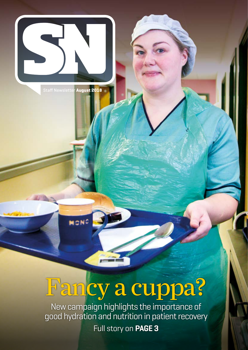

Staff Newsletter **August 2018**

MONG

# Fancy a cuppa?

New campaign highlights the importance of good hydration and nutrition in patient recovery Full story on **PAGE 3**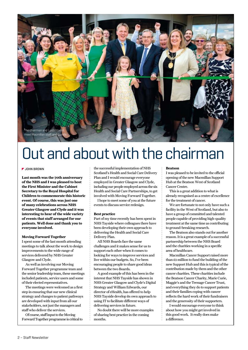

# Out and about with the chairman

#### **JOHN BROWN**

**Last month was the 70th anniversary of the NHS and I was pleased to host the First Minister and the Cabinet Secretary to the Royal Hospital for Children to commemorate this historic event. Of course, this was just one of many celebrations across NHS Greater Glasgow and Clyde and it was interesting to hear of the wide variety of events that staff arranged for our patients. Well done and thank you to everyone involved.**

### **Moving Forward Together**

I spent some of the last month attending meetings to talk about the work to design improvements to the wide range of services delivered by NHS Greater Glasgow and Clyde.

As well as involving our Moving Forward Together programme team and the senior leadership team, these meetings included patients, service users and some of their elected representatives.

The meetings were welcomed as a first step in ensuring that our new clinical strategy and changes to patient pathways are developed with input from all our stakeholders, not just the managers and staff who deliver the services.

Of course, staff input to the Moving Forward Together programme is critical to

the successful implementation of NHS Scotland's Health and Social Care Delivery Plan and I would encourage everyone employed in Greater Glasgow and Clyde, including our people employed across the six Health and Social Care Partnerships, to get involved with Moving Forward Together.

I hope to meet some of you at the future events to discuss service redesign.

#### **Best practice**

Part of my time recently has been spent in NHS Tayside where colleagues there have been developing their own approach to delivering the Health and Social Care Delivery Plan.

All NHS Boards face the same challenges and it makes sense for us to support each other when it comes to looking for ways to improve services and live within our budgets. So, I've been encouraging people to share good ideas between the two Boards.

A good example of this has been in the interest that NHS Tayside has shown in NHS Greater Glasgow and Clyde's Digital Strategy and William Edwards, our director of eHealth, has offered to help NHS Tayside develop its own approach to using IT to facilitate different ways of delivering services in future.

No doubt there will be more examples of sharing best practice in the coming months.

#### **Beatson**

I was pleased to be invited to the official opening of the new Macmillan Support Hub at the Beatson West of Scotland Cancer Centre.

This is a great addition to what is already recognised as a centre of excellence for the treatment of cancer.

We are fortunate to not only have such a facility in the West of Scotland, but also to have a group of committed and talented people capable of providing high-quality treatment at the same time as contributing to ground-breaking research.

The Beatson also stands out for another reason. It is a great example of a successful partnership between the NHS Board and the charities working in a specific area of healthcare.

Macmillan Cancer Support raised more than £2 million to fund the building of the new Support Hub and this is typical of the contribution made by them and the other cancer charities. These charities include the Beatson Cancer Charity, Marie Curie, Maggie's and the Teenage Cancer Trust, and everything they do to support patients and their families coping with cancer reflects the hard work of their fundraisers and the generosity of their supporters.

I would encourage everyone to think about how you might get involved in this good work. It really does make a difference.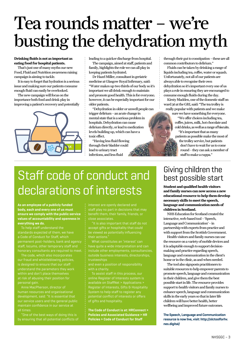# Tea rounds matter – we're busting the dehydration myth

### **Drinking fluids is not as important as eating food for hospital patients.**

That's just one of many myths our new Food, Fluid and Nutrition awareness raising campaign is aiming to tackle.

It is easy to forget that hydration is a serious issue and making sure our patients consume enough fluid can easily be overlooked.

The new campaign will focus on the importance both food and drink play in improving a patient's recovery and potentially



leading to a quicker discharge from hospital.

The campaign, aimed at staff, patients and family, highlights the role we can all play in keeping patients hydrated.

Dr Hazel Miller, consultant in geriatric medicine at Glasgow Royal Infirmary, said: "Water makes up two thirds of our body so it's important we all drink enough to maintain and promote good health. This is for everyone; however, it can be especially important for our older patients.

"Dehydration in older or unwell people can trigger delirium – an acute change in mental state that is a serious problem in hospitals. Dehydration can cause delirium directly, or lead to medication levels building up, which can have a toxic effect.

"Having less fluid flowing through their bladder could lead to urinary tract infections, and less fluid

through their gut to constipation – these are all common contributors to delirium."

Fluids can be taken by drinking a range of liquids including tea, coffee, water or squash. Unfortunately, not all of our patients are always able to recognise their own dehydration so it's important every one of us plays a role in ensuring they are encouraged to consume enough fluids during the day.

Kirsty Madden, one of the domestic staff on ward 36 at the GRI, said: "The tea trolley is really popular with patients and we make

sure we have something for everyone. "We offer choices including tea, coffee, juices, milk, hot chocolate and cold drinks, as well as a range of biscuits.

"It's important that as many patients as possible make the most of the trolley service, but patients don't have to wait for us to come round – they can ask a member of staff to make a cuppa." Dr Hazel Miller

# Staff code of conduct and declarations of interests

**As an employee of a publicly funded body, each and every one of us must ensure we comply with the public service values of accountability and openness in everything we do.**

To help staff understand the standards expected of them, we have a Code of Conduct for Staff, which permanent post-holders, bank and agency staff, locums, other temporary staff and

The code, which also incorporates our fraud and whistleblowing policies, is designed to ensure that our staff

human resources and organisational all times.

staff play no part in decisions that may close associates.

accept gifts or hospitality that could be viewed as potentially influencing their actions."

What constitutes an 'interest' can have quite a wide interpretation and can outside business interests, directorships, trusteeships

online Register of Interests system is available on StaffNet > Applications > Register of Interests, Gifts & Hospitality of gifts and hospitality.

**The Code of Conduct is at: HRConnect > Policies and Associated Guidance > HR Policies > Code of Conduct for Staff**

### Giving children the best possible start

**Student and qualified health visitors and family nurses can now access a new educational resource to help them develop necessary skills to meet the speech, language and communication needs of children in Scotland.** 

NHS Education for Scotland created the interactive, web-based tool – 'Speech, Language and Communication' – in partnership with experts from practice and with support from the Scottish Government.

Health visitors and family nurses can use the resource on a variety of mobile devices and it is adaptable enough to support decisionmaking and practice regarding speech, language and communication in the client's home or in the clinic, as and when needed.

The tool also signposts practitioners to suitable resources to help empower parents to promote speech, language and communication in their children, and give them the best possible start in life. The resource provides support to health visitors and family nurses to enhance speech, language and communication skills in the early years so that in later life children will have better health, better wellbeing and improved future outcomes.

**The Speech, Language and Communication resource is now live, visit: http://slctoolforhv. nes.digital/**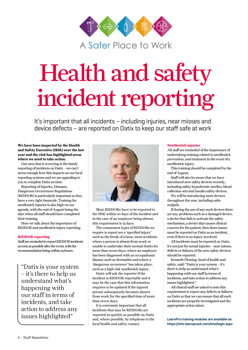

# Health and safety incident reporting

It's important that all incidents – including injuries, near misses and device defects – are reported on Datix to keep our staff safe at work

### **We have been inspected by the Health and Safety Executive (HSE) over the last year and the visit has highlighted areas where we need to take action.**

One area that is worrying is the timely reporting of incidents on Datix – we can't stress enough how this impacts on our local reporting systems and we are appealing to you to complete Datix on time.

Reporting of Injuries, Diseases, Dangerous Occurrences Regulations (RIDDOR) is particularly important as they have a very tight timescale. Training for needlestick injuries is also high on our agenda, with the end of August being the date when all staff should have completed their training.

Here we talk about the importance of RIDDOR and needlestick injury reporting.

### **RIDDOR reporting**

Staff are reminded to report RIDDOR incidents as soon as possible after the event, with the recommendation being within 24 hours.

"Datix is your system – it's there to help us understand what's happening with our staff in terms of incidents, and take action to address any issues highlighted"



Most RIDDORs have to be reported to the HSE within 10 days of the incident and in the case of an employee being absent, this requirement is 15 days.

The commonest types of RIDDORs we require to report are a 'specified injury' such as the break of a bone, most accidents where a person is absent from work or unable to undertake their normal duties for more than seven days, where an employee has been diagnosed with an occupational disease such as dermatitis and where a 'dangerous occurrence' has taken place, such as a high risk needlestick injury.

Datix will ask the reporter if the incident is RIDDOR reportable and it may be the case that this information requires to be updated if the injured person subsequently becomes absent from work for the specified time of more than seven days.

It is extremely important that all incidents that may be RIDDORs are reported as quickly as possible on Datix and, where possible, by telephone to the local health and safety contact.

### **Needlestick injuries**

All staff are reminded of the importance of undertaking training related to needlestick prevention, and treatment in the event of a needlestick injury.

This training should be completed by the end of August.

Staff will also be aware that we have introduced new safety devices recently, including safety hypodermic needles, blood collection sets and insulin safety devices.

We will be introducing more devices throughout the year, including safer scalpels.

If during the use of any such devices there are any problems such as a damaged device, a device that fails to activate the safety mechanism, a device that causes clinical concern for the patient, then these issues must be reported on Datix as an incident, even if there is no injury involved.

All incidents must be reported on Datix, it's not just for actual injuries – near misses, defects or failures of the new safety devices should be reported.

Kenneth Fleming, head of health and safety, said: "Datix is your system – it's there to help us understand what's happening with our staff in terms of incidents, and take action to address any issues highlighted."

All clinical staff are asked to note this requirement to report any defects or failures on Datix so that we can ensure that all such incidents are properly investigated and the appropriate action taken.

**LearnPro training modules are available on: <https://nhs.learnprouk.com/lms/login.aspx>**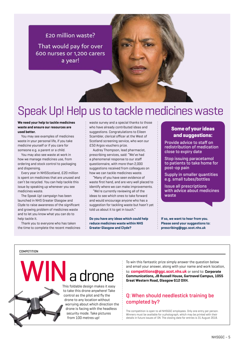### £20 million waste?

That would pay for over 600 nurses or 1,200 carers a year!

## Speak Up! Help us to tackle medicines waste

### **We need your help to tackle medicines waste and ensure our resources are used better.**

You may see examples of medicines waste in your personal life, if you take medicine yourself or if you care for someone e.g. a parent or a child.

You may also see waste at work in how we manage medicines use, from ordering and stock control to packaging and dispensing.

Every year in NHSScotland, £20 million is spent on medicines that are unused and can't be recycled. You can help tackle this issue by speaking up whenever you see medicines waste.

The Speak Up! campaign has been launched in NHS Greater Glasgow and Clyde to raise awareness of the significant and growing problem of medicines waste and to let you know what you can do to help tackle it.

Thank you to everyone who has taken the time to complete the recent medicines waste survey and a special thanks to those who have already contributed ideas and suggestions. Congratulations to Eileen Scambler, clerical officer at the West of Scotland screening service, who won our £50 Argos vouchers prize.

Audrey Thompson, lead pharmacist, prescribing services, said: "We've had a phenomenal response to our staff questionnaire, with more than 2,000 suggestions received from colleagues on how we can tackle medicines waste.

"Many of you have seen evidence of waste first hand, and are very well placed to identify where we can make improvements.

"We're currently reviewing all of the ideas to see which ones to take forward and would encourage anyone who has a suggestion for tackling waste but hasn't yet told us about it to get in touch."

**Do you have any ideas which could help reduce medicines waste within NHS Greater Glasgow and Clyde?**

### **Some of your ideas and suggestions:**

Provide advice to staff on redistribution of medication close to expiry date

Stop issuing paracetamol to patients to take home for post-op pain

Supply in smaller quantities e.g. small tubes/bottles

Issue all prescriptions with advice about medicines waste

**If so, we want to hear from you. Please send your suggestions to: prescribing@ggc.scot.nhs.uk**

### **COMPETITION**

# $\bf N$  a drone

This foldable design makes it easy to take this drone anywhere! Take control as the pilot and fly the drone to any location without worrying about which direction the drone is facing with the headless security mode. Take pictures from 100 metres up!

To win this fantastic prize simply answer the question below and email your answer, along with your name and work location, to: **competitions@ggc.scot.nhs.uk** or send to: **Corporate Communications, JB Russell House, Gartnavel Campus, 1055 Great Western Road, Glasgow G12 OXH.** 

### **Q: When should needlestick training be completed by?**

The competition is open to all NHSGGC employees. Only one entry per person. Winners must be available for a photograph, which may be printed with their details in future issues of *SN*. The closing date for entries is 31 August 2018.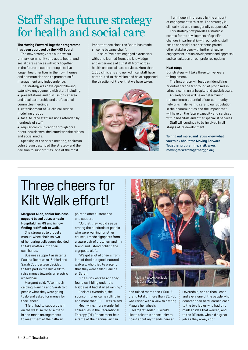# Staff shape future strategy for health and social care

### **The Moving Forward Together programme has been approved by the NHS Board.**

The new strategy sets out how our primary, community and acute health and social care services will work together in the future to support people to live longer, healthier lives in their own homes and communities and to promote selfmanagement and independence.

The strategy was developed following extensive engagement with staff, including:

**∫** presentations and discussions at area and local partnership and professional committee meetings

**∫** establishment of 31 clinical service modelling groups

**∫** face-to-face staff sessions attended by hundreds of staff

**∫** regular communication through core briefs, newsletters, dedicated website, videos and social media.

Speaking at the board meeting, chairman John Brown described the strategy and the decision to support it as "one of the most

important decisions the Board has made since he became chair".

He said: "We have engaged extensively with, and learned from, the knowledge and experience of our staff from across health and social care services. More than 1,000 clinicians and non-clinical staff have contributed to the vision and have supported the direction of travel that we have taken.



"I am hugely impressed by the amount of engagement with staff. The strategy is clinically led and managerially supported."

This strategy now provides a strategic context for the development of specific changes in partnership with our public, staff, health and social care partnerships and other stakeholders with further effective engagement, option development and appraisal and consultation on our preferred options.

### **Next steps**

Our strategy will take three to five years to implement.

The first phase will focus on identifying priorities for the first round of proposals in primary, community, hospital and specialist care.

An early focus will be on determining the maximum potential of our community networks in delivering care to our population in their communities and the impact that will have on the future capacity and services within hospitals and other specialist services.

Staff will continue to be involved in all stages of its development.

**To find out more, and let us know what you think about the Moving Forward Together programme, visit: www. movingforwardtogetherggc.org**

# Three cheers for Kilt Walk effort!

**Margaret Allan, senior business support based at Leverndale Hospital, has MS and is now finding it difficult to walk.** 

She struggles to propel a manual wheelchair, so two of her caring colleagues decided to take matters into their own hands.

Business support assistants Paulina Reptowska-Sobieri and Sarah Cuthbertson decided to take part in the Kilt Walk to raise money towards an electric wheelchair.

Margaret said: "After much cajoling, Paulina and Sarah told people what they were going to do and asked for money for their 'sheet'.

"I felt I had to support them on the walk, so roped a friend in and made arrangements to meet them at the halfway

point to offer sustenance and support.

"So that they would see us among the hundreds of people who were walking for other causes, I made signposts from a spare pair of crutches, and my friend and I stood holding the signposts aloft.

"We got a lot of cheers from lots of tired but good-natured walkers, who tried to pretend that they were called Paulina or Sarah.

"The signs worked and they found us, hiding under the bridge as it had started raining."

Back at Leverndale, the sponsor money came rolling in

and more than £900 was raised. Meanwhile, more wonderful

colleagues in the Recreational Therapy (RT) Department held a raffle at their annual art fair



and raised more than £500. A grand total of more than £1,400 was raised with a view to getting Maggie her wheels.

Margaret added: "I would like to take this opportunity to boast about my friends here at

Leverndale, and to thank each and every one of the people who donated their hard-earned cash to the two ladies who had this madcap idea that worked, and to the RT staff, who did a great job as they always do."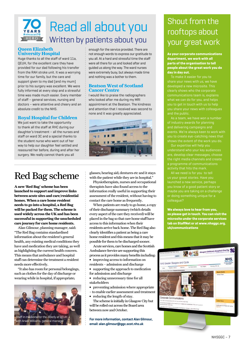

## Read all about you Written by patients about you

### **Queen Elizabeth University Hospital**

Huge thanks to all the staff of ward 11a, QEUH, for the excellent care they have provided for our dad following his transfer from the RAH stroke unit. It was a worrying time for our family, but the care and support given to my dad (and my mum) prior to his surgery was excellent. We were fully informed at every step and a stressful time was made much easier. Every member of staff – general services, nursing and doctors – were attentive and cheery and an absolute credit to the NHS.

### **Royal Hospital for Children**

We just want to take the opportunity to thank all the staff at RHC during our daughter's treatment – all the nurses and staff on ward 3C and a special thanks to the student nurse who went out of her way to help our daughter feel settled and reassured her before, during and after her surgery. We really cannot thank you all

## Red Bag scheme

**A new 'Red Bag' scheme has been launched to support and improve links between acute sites and care/residential homes. When a care home resident needs to go into a hospital, a Red Bag will be packed for them. The scheme is used widely across the UK and has been successful in supporting the unscheduled care journey for care home residents.**

Alan Gilmour, planning manager, said: "The Red Bag contains standardised information about the resident's general health, any existing medical conditions they have and medication they are taking, as well as highlighting the current health concern. This means that ambulance and hospital staff can determine the treatment a resident needs more effectively.

"It also has room for personal belongings, such as clothes for the day of discharge or wearing while in hospital, if appropriate;



enough for the service provided. There are not enough words to express our gratitude to you all. At a hard and stressful time the staff were all there for us and looked after and guided us along the way. The ward nurses were extremely busy, but always made time and nothing was a bother to them.

### **Beatson West of Scotland Cancer Centre**

I would like to praise the radiographers who looked after me during my MRI appointment at the Beatson. The kindness and attention that I received was second to none and it was greatly appreciated.



glasses; hearing aid; dentures etc and it stays with the patient while they are in hospital."

Physiotherapists, nurses and occupational therapists have also found access to the information really useful in supporting their assessment of the resident, without having to contact the care home as frequently.

When patients are ready to go home, a copy of their discharge summary (which details every aspect of the care they received) will be placed in the bag so that care home staff have access to this information when their residents arrive back home. The Red Bag also clearly identifies a patient as being a care home resident and this means that it may be possible for them to be discharged sooner.

Acute services, care homes and the Scottish Ambulance Service are supporting this process as it provides many benefits including: **∫** improving access to information on

- residents admission and discharge
- **∫** supporting the approach to medication for admission and discharge
- **∫** reducing unnecessary time for all stakeholders
- **∫** preventing admission where appropriate
- to enable earlier assessment and treatment **∫** reducing the length of stay.

The scheme is initially in Glasgow City but will be rolled out across the Board area between now and October.

**For more information, contact Alan Gilmour, email: alan.gilmour@ggc.scot.nhs.uk**

## Shout from the rooftops about your great work

**As your corporate communications department, we work with all parts of the organisation to tell people about the great work you do day in day out.** 

To make it easier for you to share your news with us, we have developed a new microsite. This clearly shows who the corporate communications team is, explains what we can do for you, and helps you to get in touch with us to help you share your news with colleagues and the public.

As a team, we have won a number of industry awards for planning and delivering campaigns and events. We're always keen to work with you to create eye-catching news that shows the extent of the work you do.

Our expertise will help you understand who your key audiences are, develop clear messages, choose the right media channels and create a programme of communications

**We always love to hear from you, so please get in touch. You can visit the microsite under the corporate services tab on StaffNet or at www.nhsggc.org. uk/communications**